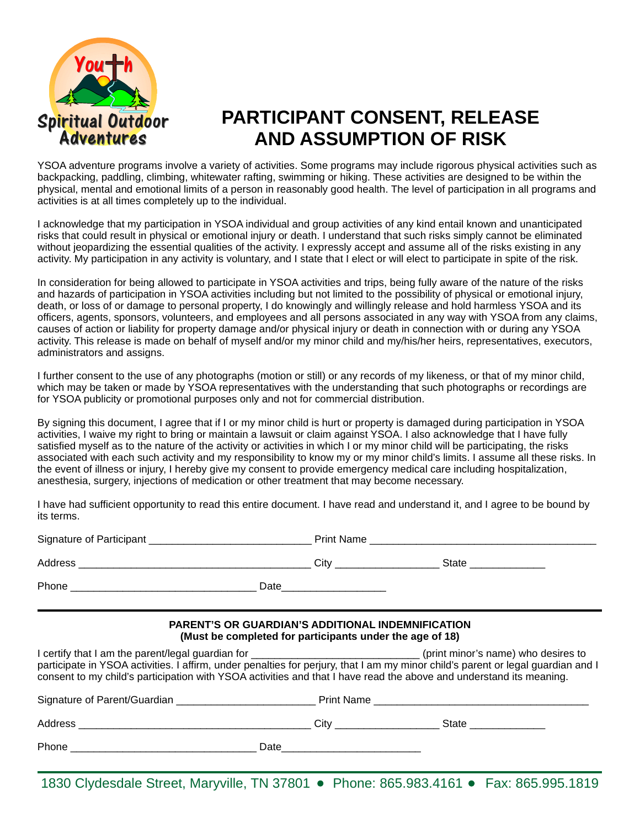

## **PARTICIPANT CONSENT, RELEASE AND ASSUMPTION OF RISK**

YSOA adventure programs involve a variety of activities. Some programs may include rigorous physical activities such as backpacking, paddling, climbing, whitewater rafting, swimming or hiking. These activities are designed to be within the physical, mental and emotional limits of a person in reasonably good health. The level of participation in all programs and activities is at all times completely up to the individual.

I acknowledge that my participation in YSOA individual and group activities of any kind entail known and unanticipated risks that could result in physical or emotional injury or death. I understand that such risks simply cannot be eliminated without jeopardizing the essential qualities of the activity. I expressly accept and assume all of the risks existing in any activity. My participation in any activity is voluntary, and I state that I elect or will elect to participate in spite of the risk.

In consideration for being allowed to participate in YSOA activities and trips, being fully aware of the nature of the risks and hazards of participation in YSOA activities including but not limited to the possibility of physical or emotional injury, death, or loss of or damage to personal property, I do knowingly and willingly release and hold harmless YSOA and its officers, agents, sponsors, volunteers, and employees and all persons associated in any way with YSOA from any claims, causes of action or liability for property damage and/or physical injury or death in connection with or during any YSOA activity. This release is made on behalf of myself and/or my minor child and my/his/her heirs, representatives, executors, administrators and assigns.

I further consent to the use of any photographs (motion or still) or any records of my likeness, or that of my minor child, which may be taken or made by YSOA representatives with the understanding that such photographs or recordings are for YSOA publicity or promotional purposes only and not for commercial distribution.

By signing this document, I agree that if I or my minor child is hurt or property is damaged during participation in YSOA activities, I waive my right to bring or maintain a lawsuit or claim against YSOA. I also acknowledge that I have fully satisfied myself as to the nature of the activity or activities in which I or my minor child will be participating, the risks associated with each such activity and my responsibility to know my or my minor child's limits. I assume all these risks. In the event of illness or injury, I hereby give my consent to provide emergency medical care including hospitalization, anesthesia, surgery, injections of medication or other treatment that may become necessary.

I have had sufficient opportunity to read this entire document. I have read and understand it, and I agree to be bound by its terms.

|                                                                                                                     | <b>PARENT'S OR GUARDIAN'S ADDITIONAL INDEMNIFICATION</b><br>(Must be completed for participants under the age of 18) |                                                                                                                                                                                                                                                         |
|---------------------------------------------------------------------------------------------------------------------|----------------------------------------------------------------------------------------------------------------------|---------------------------------------------------------------------------------------------------------------------------------------------------------------------------------------------------------------------------------------------------------|
| consent to my child's participation with YSOA activities and that I have read the above and understand its meaning. |                                                                                                                      | I certify that I am the parent/legal guardian for ______________________________(print minor's name) who desires to<br>participate in YSOA activities. I affirm, under penalties for perjury, that I am my minor child's parent or legal guardian and I |
|                                                                                                                     |                                                                                                                      |                                                                                                                                                                                                                                                         |
|                                                                                                                     |                                                                                                                      |                                                                                                                                                                                                                                                         |
|                                                                                                                     |                                                                                                                      |                                                                                                                                                                                                                                                         |

1830 Clydesdale Street, Maryville, TN 37801 • Phone: 865.983.4161 • Fax: 865.995.1819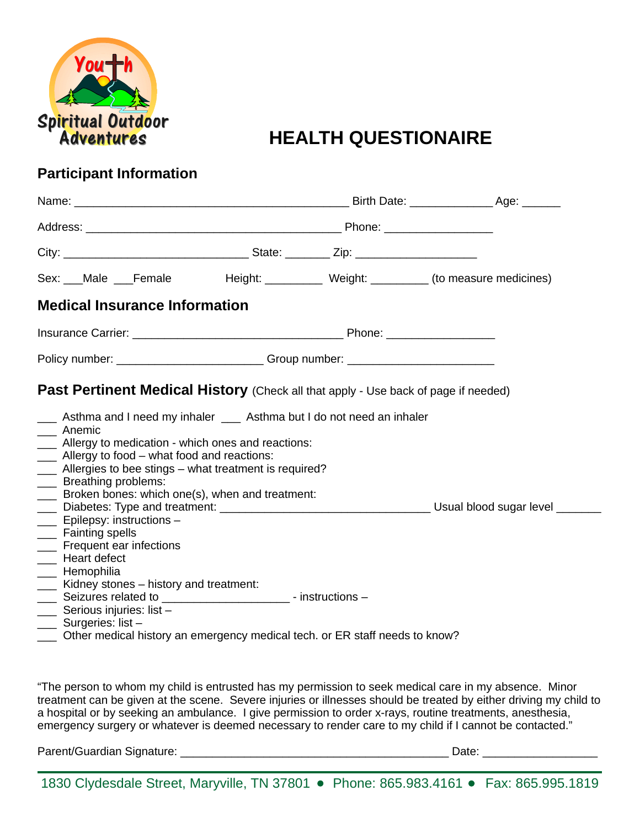

## **HEALTH QUESTIONAIRE**

## **Participant Information**

| Sex: __Male __Female Height: ________ Weight: ________ (to measure medicines)                                                                                                                                                                                                                                                                                                                                                                                      |                                                                   |  |  |
|--------------------------------------------------------------------------------------------------------------------------------------------------------------------------------------------------------------------------------------------------------------------------------------------------------------------------------------------------------------------------------------------------------------------------------------------------------------------|-------------------------------------------------------------------|--|--|
| <b>Medical Insurance Information</b>                                                                                                                                                                                                                                                                                                                                                                                                                               |                                                                   |  |  |
|                                                                                                                                                                                                                                                                                                                                                                                                                                                                    |                                                                   |  |  |
| Policy number: ___________________________Group number: ________________________                                                                                                                                                                                                                                                                                                                                                                                   |                                                                   |  |  |
| __ Asthma and I need my inhaler __ Asthma but I do not need an inhaler<br>__ Anemic<br>__ Allergy to medication - which ones and reactions:<br>__ Allergy to food - what food and reactions:<br>__ Allergies to bee stings - what treatment is required?<br>___ Breathing problems:<br>___ Broken bones: which one(s), when and treatment:<br>Labelies: Type and treatment: Labeling Labelies Louis Usual blood sugar level Labeling Diabetes: Type and treatment: |                                                                   |  |  |
| ___ Epilepsy: instructions -<br>___ Fainting spells<br>__ Frequent ear infections<br>__ Heart defect<br>___ Hemophilia<br>___ Kidney stones – history and treatment:<br>$\frac{1}{1}$<br>Serious injuries: list -<br>____ Surgeries: list -<br>Other medical history an emergency medical tech. or ER staff needs to know?                                                                                                                                         | Seizures related to ___________________________- - instructions - |  |  |

"The person to whom my child is entrusted has my permission to seek medical care in my absence. Minor treatment can be given at the scene. Severe injuries or illnesses should be treated by either driving my child to a hospital or by seeking an ambulance. I give permission to order x-rays, routine treatments, anesthesia, emergency surgery or whatever is deemed necessary to render care to my child if I cannot be contacted."

Parent/Guardian Signature: \_\_\_\_\_\_\_\_\_\_\_\_\_\_\_\_\_\_\_\_\_\_\_\_\_\_\_\_\_\_\_\_\_\_\_\_\_\_\_\_\_\_ Date: \_\_\_\_\_\_\_\_\_\_\_\_\_\_\_\_\_\_